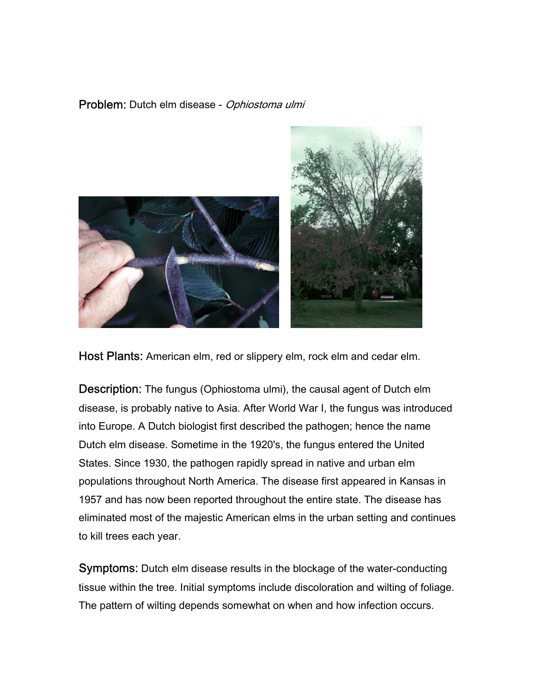## Problem: Dutch elm disease - Ophiostoma ulmi



Host Plants: American elm, red or slippery elm, rock elm and cedar elm.

**Description:** The fungus (Ophiostoma ulmi), the causal agent of Dutch elm disease, is probably native to Asia. After World War I, the fungus was introduced into Europe. A Dutch biologist first described the pathogen; hence the name Dutch elm disease. Sometime in the 1920's, the fungus entered the United States. Since 1930, the pathogen rapidly spread in native and urban elm populations throughout North America. The disease first appeared in Kansas in 1957 and has now been reported throughout the entire state. The disease has eliminated most of the majestic American elms in the urban setting and continues to kill trees each year.

**Symptoms:** Dutch elm disease results in the blockage of the water-conducting tissue within the tree. Initial symptoms include discoloration and wilting of foliage. The pattern of wilting depends somewhat on when and how infection occurs.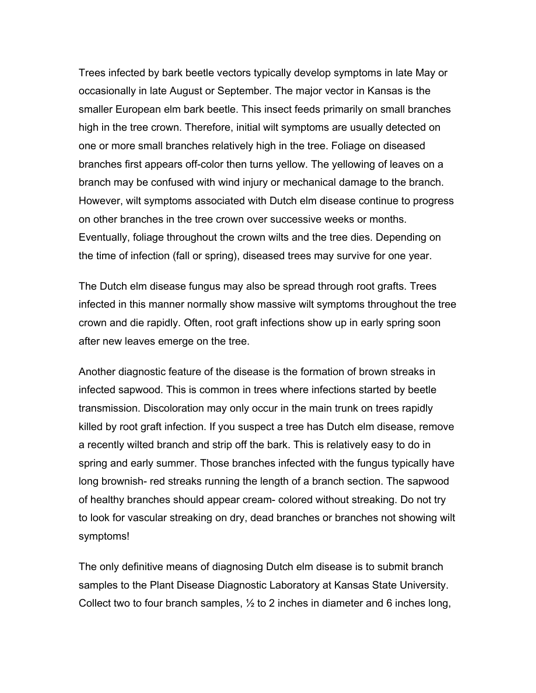Trees infected by bark beetle vectors typically develop symptoms in late May or occasionally in late August or September. The major vector in Kansas is the smaller European elm bark beetle. This insect feeds primarily on small branches high in the tree crown. Therefore, initial wilt symptoms are usually detected on one or more small branches relatively high in the tree. Foliage on diseased branches first appears off-color then turns yellow. The yellowing of leaves on a branch may be confused with wind injury or mechanical damage to the branch. However, wilt symptoms associated with Dutch elm disease continue to progress on other branches in the tree crown over successive weeks or months. Eventually, foliage throughout the crown wilts and the tree dies. Depending on the time of infection (fall or spring), diseased trees may survive for one year.

The Dutch elm disease fungus may also be spread through root grafts. Trees infected in this manner normally show massive wilt symptoms throughout the tree crown and die rapidly. Often, root graft infections show up in early spring soon after new leaves emerge on the tree.

Another diagnostic feature of the disease is the formation of brown streaks in infected sapwood. This is common in trees where infections started by beetle transmission. Discoloration may only occur in the main trunk on trees rapidly killed by root graft infection. If you suspect a tree has Dutch elm disease, remove a recently wilted branch and strip off the bark. This is relatively easy to do in spring and early summer. Those branches infected with the fungus typically have long brownish- red streaks running the length of a branch section. The sapwood of healthy branches should appear cream- colored without streaking. Do not try to look for vascular streaking on dry, dead branches or branches not showing wilt symptoms!

The only definitive means of diagnosing Dutch elm disease is to submit branch samples to the Plant Disease Diagnostic Laboratory at Kansas State University. Collect two to four branch samples,  $\frac{1}{2}$  to 2 inches in diameter and 6 inches long,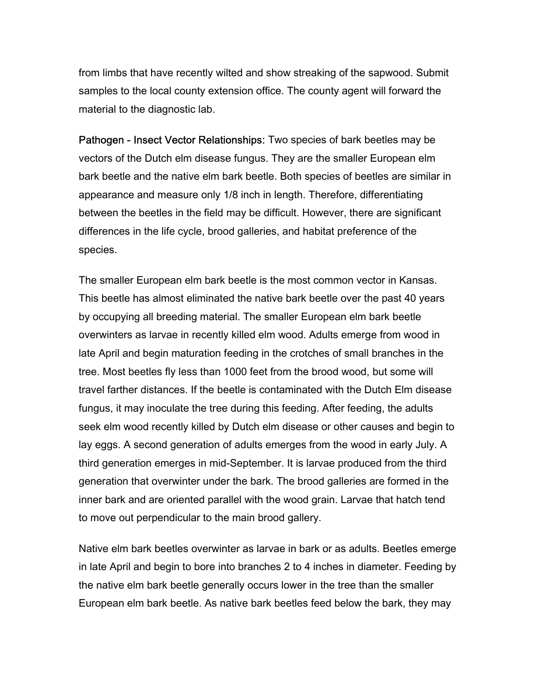from limbs that have recently wilted and show streaking of the sapwood. Submit samples to the local county extension office. The county agent will forward the material to the diagnostic lab.

Pathogen - Insect Vector Relationships: Two species of bark beetles may be vectors of the Dutch elm disease fungus. They are the smaller European elm bark beetle and the native elm bark beetle. Both species of beetles are similar in appearance and measure only 1/8 inch in length. Therefore, differentiating between the beetles in the field may be difficult. However, there are significant differences in the life cycle, brood galleries, and habitat preference of the species.

The smaller European elm bark beetle is the most common vector in Kansas. This beetle has almost eliminated the native bark beetle over the past 40 years by occupying all breeding material. The smaller European elm bark beetle overwinters as larvae in recently killed elm wood. Adults emerge from wood in late April and begin maturation feeding in the crotches of small branches in the tree. Most beetles fly less than 1000 feet from the brood wood, but some will travel farther distances. If the beetle is contaminated with the Dutch Elm disease fungus, it may inoculate the tree during this feeding. After feeding, the adults seek elm wood recently killed by Dutch elm disease or other causes and begin to lay eggs. A second generation of adults emerges from the wood in early July. A third generation emerges in mid-September. It is larvae produced from the third generation that overwinter under the bark. The brood galleries are formed in the inner bark and are oriented parallel with the wood grain. Larvae that hatch tend to move out perpendicular to the main brood gallery.

Native elm bark beetles overwinter as larvae in bark or as adults. Beetles emerge in late April and begin to bore into branches 2 to 4 inches in diameter. Feeding by the native elm bark beetle generally occurs lower in the tree than the smaller European elm bark beetle. As native bark beetles feed below the bark, they may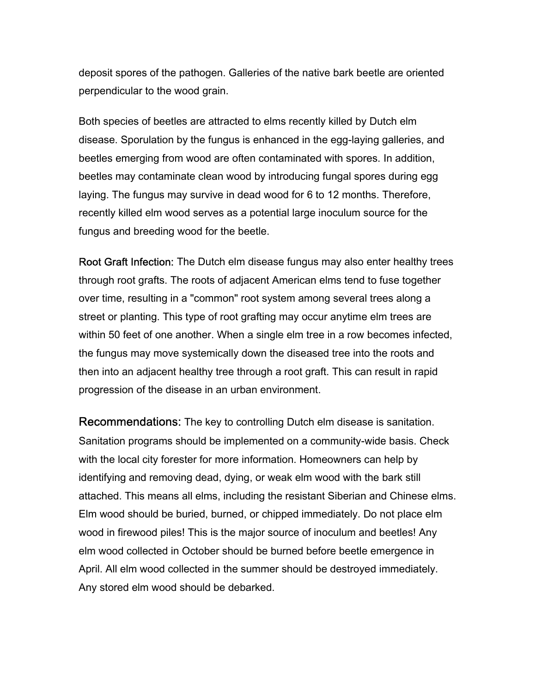deposit spores of the pathogen. Galleries of the native bark beetle are oriented perpendicular to the wood grain.

Both species of beetles are attracted to elms recently killed by Dutch elm disease. Sporulation by the fungus is enhanced in the egg-laying galleries, and beetles emerging from wood are often contaminated with spores. In addition, beetles may contaminate clean wood by introducing fungal spores during egg laying. The fungus may survive in dead wood for 6 to 12 months. Therefore, recently killed elm wood serves as a potential large inoculum source for the fungus and breeding wood for the beetle.

Root Graft Infection: The Dutch elm disease fungus may also enter healthy trees through root grafts. The roots of adjacent American elms tend to fuse together over time, resulting in a "common" root system among several trees along a street or planting. This type of root grafting may occur anytime elm trees are within 50 feet of one another. When a single elm tree in a row becomes infected, the fungus may move systemically down the diseased tree into the roots and then into an adjacent healthy tree through a root graft. This can result in rapid progression of the disease in an urban environment.

Recommendations: The key to controlling Dutch elm disease is sanitation. Sanitation programs should be implemented on a community-wide basis. Check with the local city forester for more information. Homeowners can help by identifying and removing dead, dying, or weak elm wood with the bark still attached. This means all elms, including the resistant Siberian and Chinese elms. Elm wood should be buried, burned, or chipped immediately. Do not place elm wood in firewood piles! This is the major source of inoculum and beetles! Any elm wood collected in October should be burned before beetle emergence in April. All elm wood collected in the summer should be destroyed immediately. Any stored elm wood should be debarked.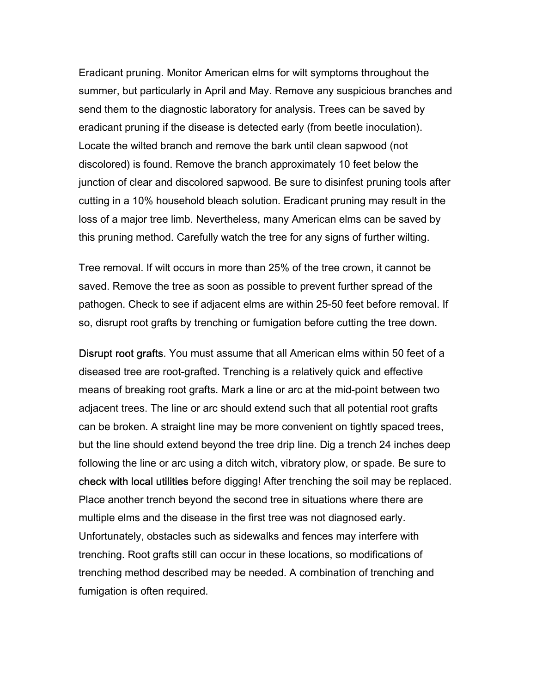Eradicant pruning. Monitor American elms for wilt symptoms throughout the summer, but particularly in April and May. Remove any suspicious branches and send them to the diagnostic laboratory for analysis. Trees can be saved by eradicant pruning if the disease is detected early (from beetle inoculation). Locate the wilted branch and remove the bark until clean sapwood (not discolored) is found. Remove the branch approximately 10 feet below the junction of clear and discolored sapwood. Be sure to disinfest pruning tools after cutting in a 10% household bleach solution. Eradicant pruning may result in the loss of a major tree limb. Nevertheless, many American elms can be saved by this pruning method. Carefully watch the tree for any signs of further wilting.

Tree removal. If wilt occurs in more than 25% of the tree crown, it cannot be saved. Remove the tree as soon as possible to prevent further spread of the pathogen. Check to see if adjacent elms are within 25-50 feet before removal. If so, disrupt root grafts by trenching or fumigation before cutting the tree down.

Disrupt root grafts. You must assume that all American elms within 50 feet of a diseased tree are root-grafted. Trenching is a relatively quick and effective means of breaking root grafts. Mark a line or arc at the mid-point between two adjacent trees. The line or arc should extend such that all potential root grafts can be broken. A straight line may be more convenient on tightly spaced trees, but the line should extend beyond the tree drip line. Dig a trench 24 inches deep following the line or arc using a ditch witch, vibratory plow, or spade. Be sure to check with local utilities before digging! After trenching the soil may be replaced. Place another trench beyond the second tree in situations where there are multiple elms and the disease in the first tree was not diagnosed early. Unfortunately, obstacles such as sidewalks and fences may interfere with trenching. Root grafts still can occur in these locations, so modifications of trenching method described may be needed. A combination of trenching and fumigation is often required.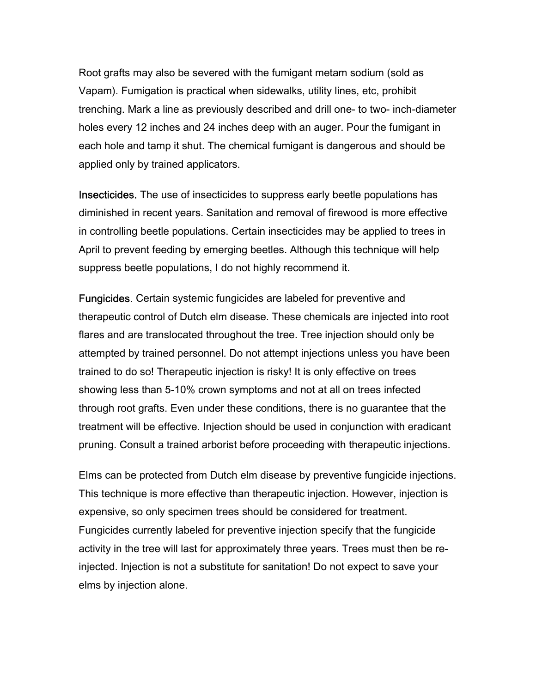Root grafts may also be severed with the fumigant metam sodium (sold as Vapam). Fumigation is practical when sidewalks, utility lines, etc, prohibit trenching. Mark a line as previously described and drill one- to two- inch-diameter holes every 12 inches and 24 inches deep with an auger. Pour the fumigant in each hole and tamp it shut. The chemical fumigant is dangerous and should be applied only by trained applicators.

Insecticides. The use of insecticides to suppress early beetle populations has diminished in recent years. Sanitation and removal of firewood is more effective in controlling beetle populations. Certain insecticides may be applied to trees in April to prevent feeding by emerging beetles. Although this technique will help suppress beetle populations, I do not highly recommend it.

Fungicides. Certain systemic fungicides are labeled for preventive and therapeutic control of Dutch elm disease. These chemicals are injected into root flares and are translocated throughout the tree. Tree injection should only be attempted by trained personnel. Do not attempt injections unless you have been trained to do so! Therapeutic injection is risky! It is only effective on trees showing less than 5-10% crown symptoms and not at all on trees infected through root grafts. Even under these conditions, there is no guarantee that the treatment will be effective. Injection should be used in conjunction with eradicant pruning. Consult a trained arborist before proceeding with therapeutic injections.

Elms can be protected from Dutch elm disease by preventive fungicide injections. This technique is more effective than therapeutic injection. However, injection is expensive, so only specimen trees should be considered for treatment. Fungicides currently labeled for preventive injection specify that the fungicide activity in the tree will last for approximately three years. Trees must then be reinjected. Injection is not a substitute for sanitation! Do not expect to save your elms by injection alone.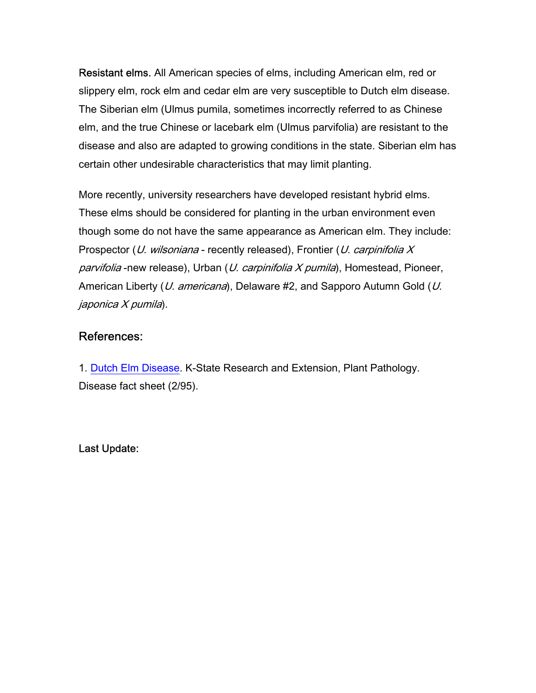Resistant elms. All American species of elms, including American elm, red or slippery elm, rock elm and cedar elm are very susceptible to Dutch elm disease. The Siberian elm (Ulmus pumila, sometimes incorrectly referred to as Chinese elm, and the true Chinese or lacebark elm (Ulmus parvifolia) are resistant to the disease and also are adapted to growing conditions in the state. Siberian elm has certain other undesirable characteristics that may limit planting.

More recently, university researchers have developed resistant hybrid elms. These elms should be considered for planting in the urban environment even though some do not have the same appearance as American elm. They include: Prospector (U. wilsoniana - recently released), Frontier (U. carpinifolia X parvifolia-new release), Urban (U. carpinifolia X pumila), Homestead, Pioneer, American Liberty (U. americana), Delaware #2, and Sapporo Autumn Gold (U. japonica X pumila).

# References:

1. [Dutch Elm Disease](http://www.oznet.ksu.edu/path-ext/factSheets/Trees/Dutch Elm Disease.asp). K-State Research and Extension, Plant Pathology. Disease fact sheet (2/95).

## Last Update: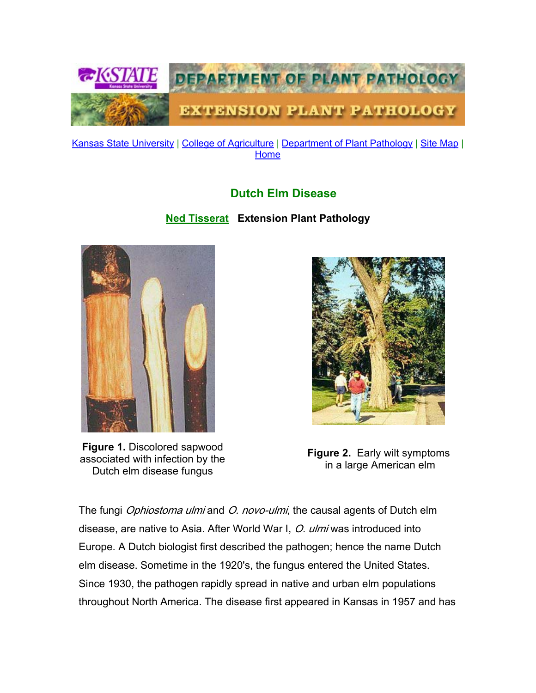

[Kansas State University](http://www.ksu.edu/) | [College of Agriculture](http://www.oznet.ksu.edu/) | [Department of Plant Pathology](http://www.oznet.ksu.edu/plantpath/) | [Site Map](http://www.oznet.ksu.edu/path-ext/Site Map.asp) | [Home](http://www.oznet.ksu.edu/path-ext/welcome.asp) 

# **Dutch Elm Disease**

**[Ned Tisserat](mailto:tissne@plantpath.ksu.edu) Extension Plant Pathology**



**Figure 1.** Discolored sapwood associated with infection by the Dutch elm disease fungus



**Figure 2.** Early wilt symptoms in a large American elm

The fungi *Ophiostoma ulmi* and *O. novo-ulmi*, the causal agents of Dutch elm disease, are native to Asia. After World War I, O. ulmi was introduced into Europe. A Dutch biologist first described the pathogen; hence the name Dutch elm disease. Sometime in the 1920's, the fungus entered the United States. Since 1930, the pathogen rapidly spread in native and urban elm populations throughout North America. The disease first appeared in Kansas in 1957 and has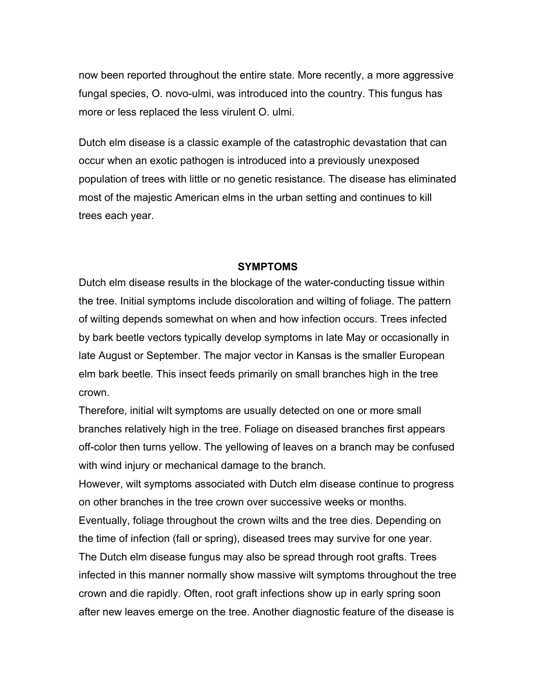now been reported throughout the entire state. More recently, a more aggressive fungal species, O. novo-ulmi, was introduced into the country. This fungus has more or less replaced the less virulent O. ulmi.

Dutch elm disease is a classic example of the catastrophic devastation that can occur when an exotic pathogen is introduced into a previously unexposed population of trees with little or no genetic resistance. The disease has eliminated most of the majestic American elms in the urban setting and continues to kill trees each year.

#### **SYMPTOMS**

Dutch elm disease results in the blockage of the water-conducting tissue within the tree. Initial symptoms include discoloration and wilting of foliage. The pattern of wilting depends somewhat on when and how infection occurs. Trees infected by bark beetle vectors typically develop symptoms in late May or occasionally in late August or September. The major vector in Kansas is the smaller European elm bark beetle. This insect feeds primarily on small branches high in the tree crown.

Therefore, initial wilt symptoms are usually detected on one or more small branches relatively high in the tree. Foliage on diseased branches first appears off-color then turns yellow. The yellowing of leaves on a branch may be confused with wind injury or mechanical damage to the branch.

However, wilt symptoms associated with Dutch elm disease continue to progress on other branches in the tree crown over successive weeks or months. Eventually, foliage throughout the crown wilts and the tree dies. Depending on the time of infection (fall or spring), diseased trees may survive for one year. The Dutch elm disease fungus may also be spread through root grafts. Trees infected in this manner normally show massive wilt symptoms throughout the tree crown and die rapidly. Often, root graft infections show up in early spring soon after new leaves emerge on the tree. Another diagnostic feature of the disease is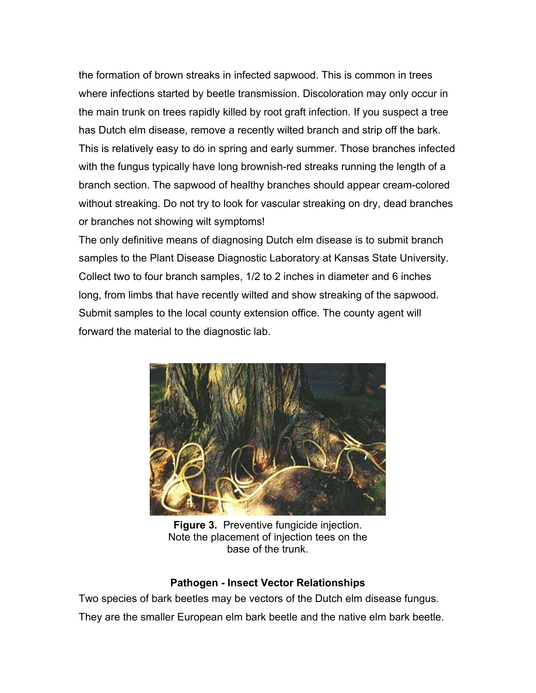the formation of brown streaks in infected sapwood. This is common in trees where infections started by beetle transmission. Discoloration may only occur in the main trunk on trees rapidly killed by root graft infection. If you suspect a tree has Dutch elm disease, remove a recently wilted branch and strip off the bark. This is relatively easy to do in spring and early summer. Those branches infected with the fungus typically have long brownish-red streaks running the length of a branch section. The sapwood of healthy branches should appear cream-colored without streaking. Do not try to look for vascular streaking on dry, dead branches or branches not showing wilt symptoms!

The only definitive means of diagnosing Dutch elm disease is to submit branch samples to the Plant Disease Diagnostic Laboratory at Kansas State University. Collect two to four branch samples, 1/2 to 2 inches in diameter and 6 inches long, from limbs that have recently wilted and show streaking of the sapwood. Submit samples to the local county extension office. The county agent will forward the material to the diagnostic lab.



**Figure 3.** Preventive fungicide injection. Note the placement of injection tees on the base of the trunk.

## **Pathogen - Insect Vector Relationships**

Two species of bark beetles may be vectors of the Dutch elm disease fungus.

They are the smaller European elm bark beetle and the native elm bark beetle.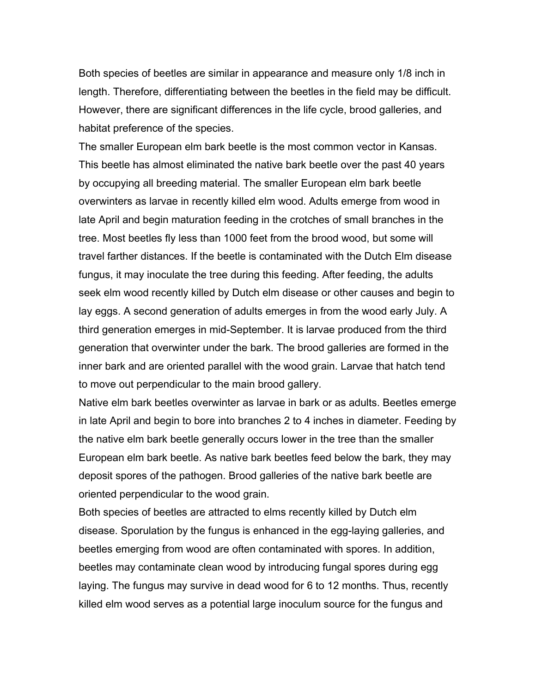Both species of beetles are similar in appearance and measure only 1/8 inch in length. Therefore, differentiating between the beetles in the field may be difficult. However, there are significant differences in the life cycle, brood galleries, and habitat preference of the species.

The smaller European elm bark beetle is the most common vector in Kansas. This beetle has almost eliminated the native bark beetle over the past 40 years by occupying all breeding material. The smaller European elm bark beetle overwinters as larvae in recently killed elm wood. Adults emerge from wood in late April and begin maturation feeding in the crotches of small branches in the tree. Most beetles fly less than 1000 feet from the brood wood, but some will travel farther distances. If the beetle is contaminated with the Dutch Elm disease fungus, it may inoculate the tree during this feeding. After feeding, the adults seek elm wood recently killed by Dutch elm disease or other causes and begin to lay eggs. A second generation of adults emerges in from the wood early July. A third generation emerges in mid-September. It is larvae produced from the third generation that overwinter under the bark. The brood galleries are formed in the inner bark and are oriented parallel with the wood grain. Larvae that hatch tend to move out perpendicular to the main brood gallery.

Native elm bark beetles overwinter as larvae in bark or as adults. Beetles emerge in late April and begin to bore into branches 2 to 4 inches in diameter. Feeding by the native elm bark beetle generally occurs lower in the tree than the smaller European elm bark beetle. As native bark beetles feed below the bark, they may deposit spores of the pathogen. Brood galleries of the native bark beetle are oriented perpendicular to the wood grain.

Both species of beetles are attracted to elms recently killed by Dutch elm disease. Sporulation by the fungus is enhanced in the egg-laying galleries, and beetles emerging from wood are often contaminated with spores. In addition, beetles may contaminate clean wood by introducing fungal spores during egg laying. The fungus may survive in dead wood for 6 to 12 months. Thus, recently killed elm wood serves as a potential large inoculum source for the fungus and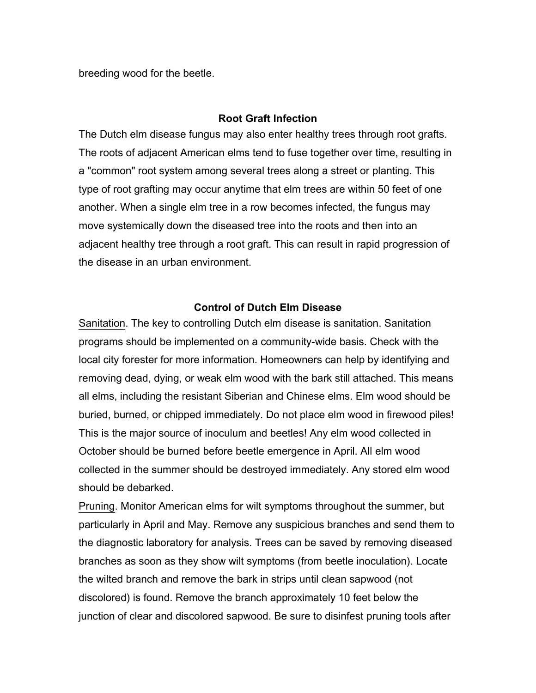breeding wood for the beetle.

#### **Root Graft Infection**

The Dutch elm disease fungus may also enter healthy trees through root grafts. The roots of adjacent American elms tend to fuse together over time, resulting in a "common" root system among several trees along a street or planting. This type of root grafting may occur anytime that elm trees are within 50 feet of one another. When a single elm tree in a row becomes infected, the fungus may move systemically down the diseased tree into the roots and then into an adjacent healthy tree through a root graft. This can result in rapid progression of the disease in an urban environment.

#### **Control of Dutch Elm Disease**

Sanitation. The key to controlling Dutch elm disease is sanitation. Sanitation programs should be implemented on a community-wide basis. Check with the local city forester for more information. Homeowners can help by identifying and removing dead, dying, or weak elm wood with the bark still attached. This means all elms, including the resistant Siberian and Chinese elms. Elm wood should be buried, burned, or chipped immediately. Do not place elm wood in firewood piles! This is the major source of inoculum and beetles! Any elm wood collected in October should be burned before beetle emergence in April. All elm wood collected in the summer should be destroyed immediately. Any stored elm wood should be debarked.

Pruning. Monitor American elms for wilt symptoms throughout the summer, but particularly in April and May. Remove any suspicious branches and send them to the diagnostic laboratory for analysis. Trees can be saved by removing diseased branches as soon as they show wilt symptoms (from beetle inoculation). Locate the wilted branch and remove the bark in strips until clean sapwood (not discolored) is found. Remove the branch approximately 10 feet below the junction of clear and discolored sapwood. Be sure to disinfest pruning tools after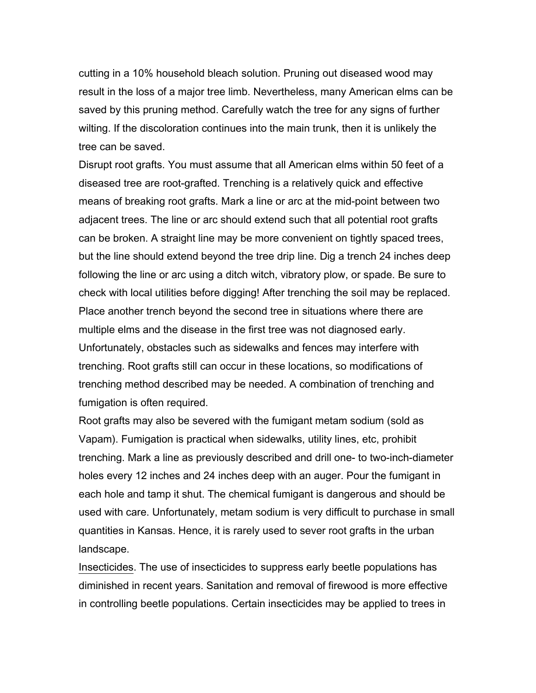cutting in a 10% household bleach solution. Pruning out diseased wood may result in the loss of a major tree limb. Nevertheless, many American elms can be saved by this pruning method. Carefully watch the tree for any signs of further wilting. If the discoloration continues into the main trunk, then it is unlikely the tree can be saved.

Disrupt root grafts. You must assume that all American elms within 50 feet of a diseased tree are root-grafted. Trenching is a relatively quick and effective means of breaking root grafts. Mark a line or arc at the mid-point between two adjacent trees. The line or arc should extend such that all potential root grafts can be broken. A straight line may be more convenient on tightly spaced trees, but the line should extend beyond the tree drip line. Dig a trench 24 inches deep following the line or arc using a ditch witch, vibratory plow, or spade. Be sure to check with local utilities before digging! After trenching the soil may be replaced. Place another trench beyond the second tree in situations where there are multiple elms and the disease in the first tree was not diagnosed early. Unfortunately, obstacles such as sidewalks and fences may interfere with trenching. Root grafts still can occur in these locations, so modifications of trenching method described may be needed. A combination of trenching and fumigation is often required.

Root grafts may also be severed with the fumigant metam sodium (sold as Vapam). Fumigation is practical when sidewalks, utility lines, etc, prohibit trenching. Mark a line as previously described and drill one- to two-inch-diameter holes every 12 inches and 24 inches deep with an auger. Pour the fumigant in each hole and tamp it shut. The chemical fumigant is dangerous and should be used with care. Unfortunately, metam sodium is very difficult to purchase in small quantities in Kansas. Hence, it is rarely used to sever root grafts in the urban landscape.

Insecticides. The use of insecticides to suppress early beetle populations has diminished in recent years. Sanitation and removal of firewood is more effective in controlling beetle populations. Certain insecticides may be applied to trees in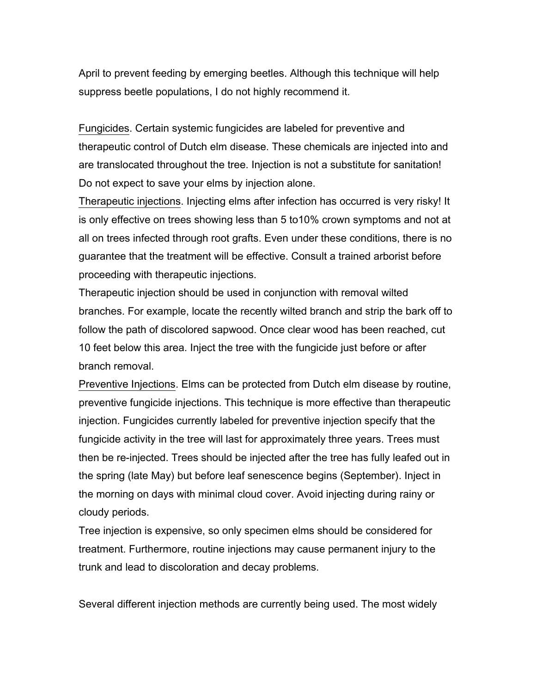April to prevent feeding by emerging beetles. Although this technique will help suppress beetle populations, I do not highly recommend it.

Fungicides. Certain systemic fungicides are labeled for preventive and therapeutic control of Dutch elm disease. These chemicals are injected into and are translocated throughout the tree. Injection is not a substitute for sanitation! Do not expect to save your elms by injection alone.

Therapeutic injections. Injecting elms after infection has occurred is very risky! It is only effective on trees showing less than 5 to10% crown symptoms and not at all on trees infected through root grafts. Even under these conditions, there is no guarantee that the treatment will be effective. Consult a trained arborist before proceeding with therapeutic injections.

Therapeutic injection should be used in conjunction with removal wilted branches. For example, locate the recently wilted branch and strip the bark off to follow the path of discolored sapwood. Once clear wood has been reached, cut 10 feet below this area. Inject the tree with the fungicide just before or after branch removal.

Preventive Injections. Elms can be protected from Dutch elm disease by routine, preventive fungicide injections. This technique is more effective than therapeutic injection. Fungicides currently labeled for preventive injection specify that the fungicide activity in the tree will last for approximately three years. Trees must then be re-injected. Trees should be injected after the tree has fully leafed out in the spring (late May) but before leaf senescence begins (September). Inject in the morning on days with minimal cloud cover. Avoid injecting during rainy or cloudy periods.

Tree injection is expensive, so only specimen elms should be considered for treatment. Furthermore, routine injections may cause permanent injury to the trunk and lead to discoloration and decay problems.

Several different injection methods are currently being used. The most widely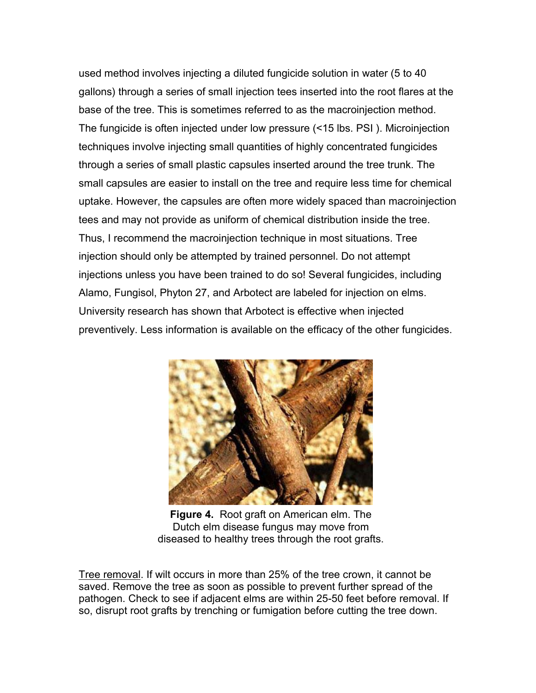used method involves injecting a diluted fungicide solution in water (5 to 40 gallons) through a series of small injection tees inserted into the root flares at the base of the tree. This is sometimes referred to as the macroinjection method. The fungicide is often injected under low pressure (<15 lbs. PSI ). Microinjection techniques involve injecting small quantities of highly concentrated fungicides through a series of small plastic capsules inserted around the tree trunk. The small capsules are easier to install on the tree and require less time for chemical uptake. However, the capsules are often more widely spaced than macroinjection tees and may not provide as uniform of chemical distribution inside the tree. Thus, I recommend the macroinjection technique in most situations. Tree injection should only be attempted by trained personnel. Do not attempt injections unless you have been trained to do so! Several fungicides, including Alamo, Fungisol, Phyton 27, and Arbotect are labeled for injection on elms. University research has shown that Arbotect is effective when injected preventively. Less information is available on the efficacy of the other fungicides.

![](_page_14_Picture_1.jpeg)

**Figure 4.** Root graft on American elm. The Dutch elm disease fungus may move from diseased to healthy trees through the root grafts.

Tree removal. If wilt occurs in more than 25% of the tree crown, it cannot be saved. Remove the tree as soon as possible to prevent further spread of the pathogen. Check to see if adjacent elms are within 25-50 feet before removal. If so, disrupt root grafts by trenching or fumigation before cutting the tree down.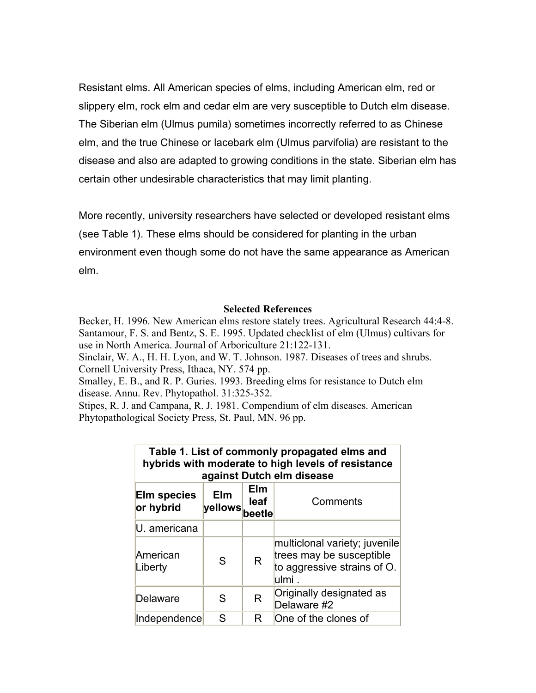Resistant elms. All American species of elms, including American elm, red or slippery elm, rock elm and cedar elm are very susceptible to Dutch elm disease. The Siberian elm (Ulmus pumila) sometimes incorrectly referred to as Chinese elm, and the true Chinese or lacebark elm (Ulmus parvifolia) are resistant to the disease and also are adapted to growing conditions in the state. Siberian elm has certain other undesirable characteristics that may limit planting.

More recently, university researchers have selected or developed resistant elms (see Table 1). These elms should be considered for planting in the urban environment even though some do not have the same appearance as American elm.

#### **Selected References**

Becker, H. 1996. New American elms restore stately trees. Agricultural Research 44:4-8. Santamour, F. S. and Bentz, S. E. 1995. Updated checklist of elm (Ulmus) cultivars for use in North America. Journal of Arboriculture 21:122-131.

Sinclair, W. A., H. H. Lyon, and W. T. Johnson. 1987. Diseases of trees and shrubs. Cornell University Press, Ithaca, NY. 574 pp.

Smalley, E. B., and R. P. Guries. 1993. Breeding elms for resistance to Dutch elm disease. Annu. Rev. Phytopathol. 31:325-352.

Stipes, R. J. and Campana, R. J. 1981. Compendium of elm diseases. American Phytopathological Society Press, St. Paul, MN. 96 pp.

| Table 1. List of commonly propagated elms and<br>hybrids with moderate to high levels of resistance<br>against Dutch elm disease |                |                       |                                                                                                   |  |  |  |  |
|----------------------------------------------------------------------------------------------------------------------------------|----------------|-----------------------|---------------------------------------------------------------------------------------------------|--|--|--|--|
| <b>Elm species</b><br>or hybrid                                                                                                  | Elm<br>yellows | Elm<br>leaf<br>beetle | Comments                                                                                          |  |  |  |  |
| U. americana                                                                                                                     |                |                       |                                                                                                   |  |  |  |  |
| American<br>Liberty                                                                                                              | S              | R                     | multiclonal variety; juvenile<br>trees may be susceptible<br>to aggressive strains of O.<br>ulmi. |  |  |  |  |
| Delaware                                                                                                                         | S              | R                     | Originally designated as<br>Delaware #2                                                           |  |  |  |  |
| Independence                                                                                                                     | S              | R                     | One of the clones of                                                                              |  |  |  |  |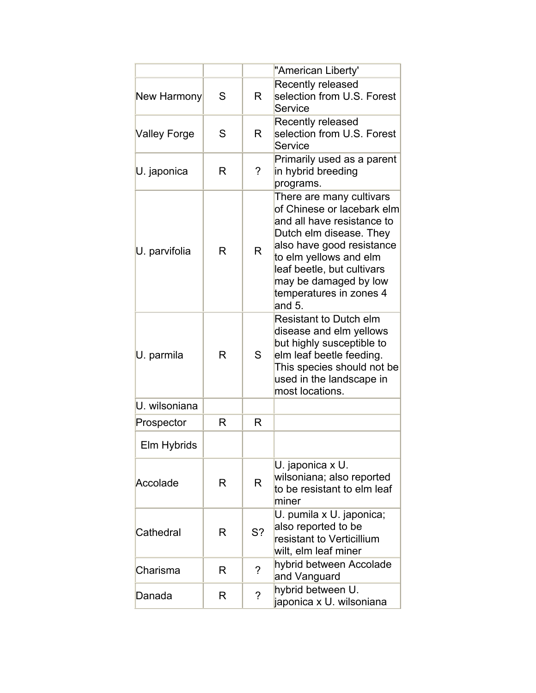|                     |   |                | "American Liberty'                                                                                                                                                                                                                                                 |
|---------------------|---|----------------|--------------------------------------------------------------------------------------------------------------------------------------------------------------------------------------------------------------------------------------------------------------------|
| <b>New Harmony</b>  | S | R              | Recently released<br>selection from U.S. Forest<br>Service                                                                                                                                                                                                         |
| <b>Valley Forge</b> | S | R.             | <b>Recently released</b><br>selection from U.S. Forest<br>Service                                                                                                                                                                                                  |
| U. japonica         | R | ?              | Primarily used as a parent<br>in hybrid breeding<br>programs.                                                                                                                                                                                                      |
| U. parvifolia       | R | R              | There are many cultivars<br>of Chinese or lacebark elm<br>and all have resistance to<br>Dutch elm disease. They<br>also have good resistance<br>to elm yellows and elm<br>leaf beetle, but cultivars<br>may be damaged by low<br>temperatures in zones 4<br>and 5. |
| U. parmila          | R | S              | <b>Resistant to Dutch elm</b><br>disease and elm yellows<br>but highly susceptible to<br>elm leaf beetle feeding.<br>This species should not be<br>used in the landscape in<br>most locations.                                                                     |
| U. wilsoniana       |   |                |                                                                                                                                                                                                                                                                    |
| Prospector          | R | R              |                                                                                                                                                                                                                                                                    |
| Elm Hybrids         |   |                |                                                                                                                                                                                                                                                                    |
| Accolade            | R | R              | U. japonica x U.<br>wilsoniana; also reported<br>to be resistant to elm leaf<br>miner                                                                                                                                                                              |
| Cathedral           | R | S <sub>2</sub> | U. pumila x U. japonica;<br>also reported to be<br>resistant to Verticillium<br>wilt, elm leaf miner                                                                                                                                                               |
| Charisma            | R | $\tilde{?}$    | hybrid between Accolade<br>and Vanguard                                                                                                                                                                                                                            |
| Danada              | R | ?              | hybrid between U.<br>japonica x U. wilsoniana                                                                                                                                                                                                                      |